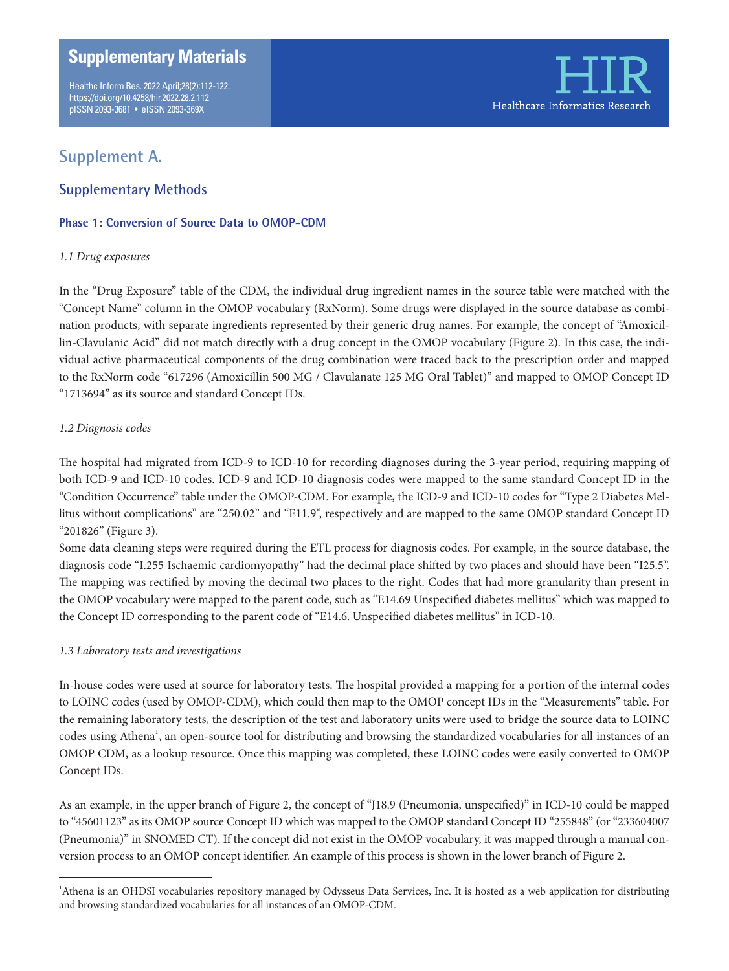# **Supplementary Materials**

Healthc Inform Res. 2022 April;28(2):112-122. https://doi.org/10.4258/hir.2022.28.2.112 pISSN 2093-3681 • eISSN 2093-369X



# **Supplement A.**

### **Supplementary Methods**

#### **Phase 1: Conversion of Source Data to OMOP-CDM**

#### *1.1 Drug exposures*

In the "Drug Exposure" table of the CDM, the individual drug ingredient names in the source table were matched with the "Concept Name" column in the OMOP vocabulary (RxNorm). Some drugs were displayed in the source database as combination products, with separate ingredients represented by their generic drug names. For example, the concept of "Amoxicillin-Clavulanic Acid" did not match directly with a drug concept in the OMOP vocabulary (Figure 2). In this case, the individual active pharmaceutical components of the drug combination were traced back to the prescription order and mapped to the RxNorm code "617296 (Amoxicillin 500 MG / Clavulanate 125 MG Oral Tablet)" and mapped to OMOP Concept ID "1713694" as its source and standard Concept IDs.

#### *1.2 Diagnosis codes*

The hospital had migrated from ICD-9 to ICD-10 for recording diagnoses during the 3-year period, requiring mapping of both ICD-9 and ICD-10 codes. ICD-9 and ICD-10 diagnosis codes were mapped to the same standard Concept ID in the "Condition Occurrence" table under the OMOP-CDM. For example, the ICD-9 and ICD-10 codes for "Type 2 Diabetes Mellitus without complications" are "250.02" and "E11.9", respectively and are mapped to the same OMOP standard Concept ID "201826" (Figure 3).

Some data cleaning steps were required during the ETL process for diagnosis codes. For example, in the source database, the diagnosis code "I.255 Ischaemic cardiomyopathy" had the decimal place shifted by two places and should have been "I25.5". The mapping was rectified by moving the decimal two places to the right. Codes that had more granularity than present in the OMOP vocabulary were mapped to the parent code, such as "E14.69 Unspecified diabetes mellitus" which was mapped to the Concept ID corresponding to the parent code of "E14.6. Unspecified diabetes mellitus" in ICD-10.

#### *1.3 Laboratory tests and investigations*

In-house codes were used at source for laboratory tests. The hospital provided a mapping for a portion of the internal codes to LOINC codes (used by OMOP-CDM), which could then map to the OMOP concept IDs in the "Measurements" table. For the remaining laboratory tests, the description of the test and laboratory units were used to bridge the source data to LOINC codes using Athena<sup>1</sup>, an open-source tool for distributing and browsing the standardized vocabularies for all instances of an OMOP CDM, as a lookup resource. Once this mapping was completed, these LOINC codes were easily converted to OMOP Concept IDs.

As an example, in the upper branch of Figure 2, the concept of "J18.9 (Pneumonia, unspecified)" in ICD-10 could be mapped to "45601123" as its OMOP source Concept ID which was mapped to the OMOP standard Concept ID "255848" (or "233604007 (Pneumonia)" in SNOMED CT). If the concept did not exist in the OMOP vocabulary, it was mapped through a manual conversion process to an OMOP concept identifier. An example of this process is shown in the lower branch of Figure 2.

<sup>&</sup>lt;sup>1</sup>Athena is an OHDSI vocabularies repository managed by Odysseus Data Services, Inc. It is hosted as a web application for distributing and browsing standardized vocabularies for all instances of an OMOP-CDM.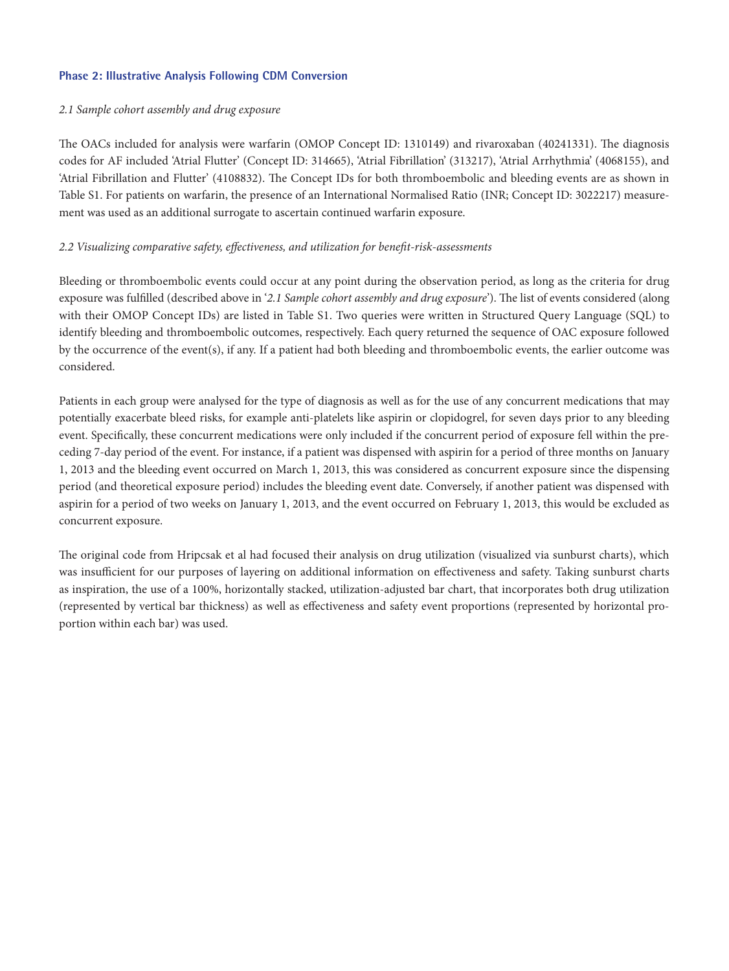#### **Phase 2: Illustrative Analysis Following CDM Conversion**

#### *2.1 Sample cohort assembly and drug exposure*

The OACs included for analysis were warfarin (OMOP Concept ID: 1310149) and rivaroxaban (40241331). The diagnosis codes for AF included 'Atrial Flutter' (Concept ID: 314665), 'Atrial Fibrillation' (313217), 'Atrial Arrhythmia' (4068155), and 'Atrial Fibrillation and Flutter' (4108832). The Concept IDs for both thromboembolic and bleeding events are as shown in Table S1. For patients on warfarin, the presence of an International Normalised Ratio (INR; Concept ID: 3022217) measurement was used as an additional surrogate to ascertain continued warfarin exposure.

#### *2.2 Visualizing comparative safety, effectiveness, and utilization for benefit-risk-assessments*

Bleeding or thromboembolic events could occur at any point during the observation period, as long as the criteria for drug exposure was fulfilled (described above in '*2.1 Sample cohort assembly and drug exposure*'). The list of events considered (along with their OMOP Concept IDs) are listed in Table S1. Two queries were written in Structured Query Language (SQL) to identify bleeding and thromboembolic outcomes, respectively. Each query returned the sequence of OAC exposure followed by the occurrence of the event(s), if any. If a patient had both bleeding and thromboembolic events, the earlier outcome was considered.

Patients in each group were analysed for the type of diagnosis as well as for the use of any concurrent medications that may potentially exacerbate bleed risks, for example anti-platelets like aspirin or clopidogrel, for seven days prior to any bleeding event. Specifically, these concurrent medications were only included if the concurrent period of exposure fell within the preceding 7-day period of the event. For instance, if a patient was dispensed with aspirin for a period of three months on January 1, 2013 and the bleeding event occurred on March 1, 2013, this was considered as concurrent exposure since the dispensing period (and theoretical exposure period) includes the bleeding event date. Conversely, if another patient was dispensed with aspirin for a period of two weeks on January 1, 2013, and the event occurred on February 1, 2013, this would be excluded as concurrent exposure.

The original code from Hripcsak et al had focused their analysis on drug utilization (visualized via sunburst charts), which was insufficient for our purposes of layering on additional information on effectiveness and safety. Taking sunburst charts as inspiration, the use of a 100%, horizontally stacked, utilization-adjusted bar chart, that incorporates both drug utilization (represented by vertical bar thickness) as well as effectiveness and safety event proportions (represented by horizontal proportion within each bar) was used.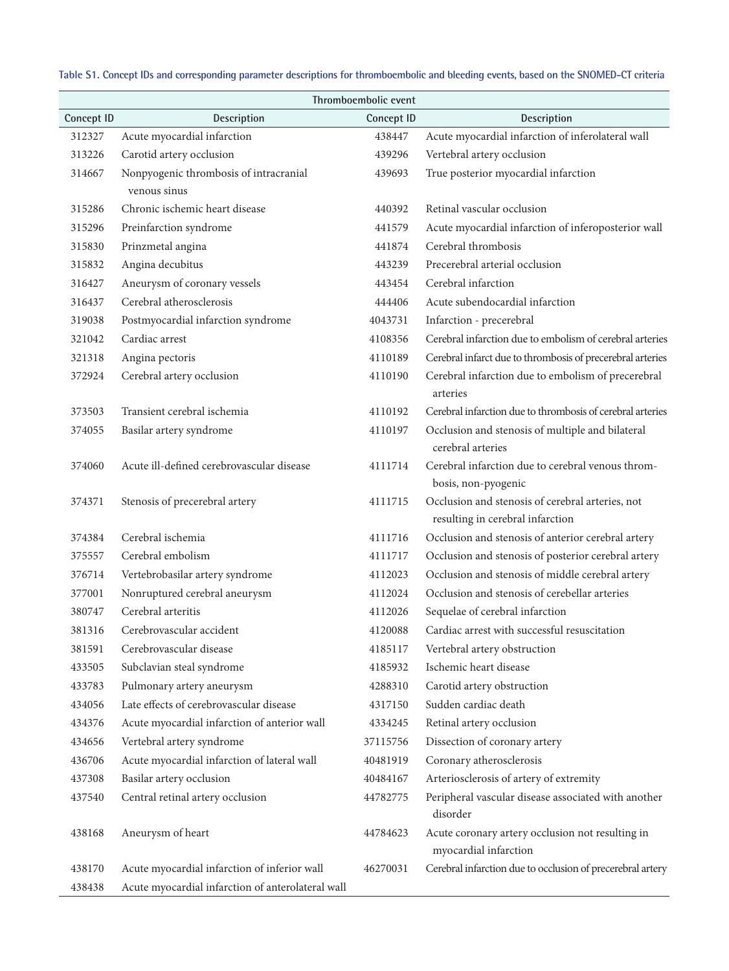|  |  |  | Table S1. Concept IDs and corresponding parameter descriptions for thromboembolic and bleeding events, based on the SNOMED-CT criteria |  |
|--|--|--|----------------------------------------------------------------------------------------------------------------------------------------|--|
|--|--|--|----------------------------------------------------------------------------------------------------------------------------------------|--|

|            |                                                   | Thromboembolic event |                                                                                      |
|------------|---------------------------------------------------|----------------------|--------------------------------------------------------------------------------------|
| Concept ID | Description                                       | Concept ID           | Description                                                                          |
| 312327     | Acute myocardial infarction                       | 438447               | Acute myocardial infarction of inferolateral wall                                    |
| 313226     | Carotid artery occlusion                          | 439296               | Vertebral artery occlusion                                                           |
| 314667     | Nonpyogenic thrombosis of intracranial            | 439693               | True posterior myocardial infarction                                                 |
|            | venous sinus                                      |                      |                                                                                      |
| 315286     | Chronic ischemic heart disease                    | 440392               | Retinal vascular occlusion                                                           |
| 315296     | Preinfarction syndrome                            | 441579               | Acute myocardial infarction of inferoposterior wall                                  |
| 315830     | Prinzmetal angina                                 | 441874               | Cerebral thrombosis                                                                  |
| 315832     | Angina decubitus                                  | 443239               | Precerebral arterial occlusion                                                       |
| 316427     | Aneurysm of coronary vessels                      | 443454               | Cerebral infarction                                                                  |
| 316437     | Cerebral atherosclerosis                          | 444406               | Acute subendocardial infarction                                                      |
| 319038     | Postmyocardial infarction syndrome                | 4043731              | Infarction - precerebral                                                             |
| 321042     | Cardiac arrest                                    | 4108356              | Cerebral infarction due to embolism of cerebral arteries                             |
| 321318     | Angina pectoris                                   | 4110189              | Cerebral infarct due to thrombosis of precerebral arteries                           |
| 372924     | Cerebral artery occlusion                         | 4110190              | Cerebral infarction due to embolism of precerebral                                   |
|            |                                                   |                      | arteries                                                                             |
| 373503     | Transient cerebral ischemia                       | 4110192              | Cerebral infarction due to thrombosis of cerebral arteries                           |
| 374055     | Basilar artery syndrome                           | 4110197              | Occlusion and stenosis of multiple and bilateral                                     |
|            |                                                   |                      | cerebral arteries                                                                    |
| 374060     | Acute ill-defined cerebrovascular disease         | 4111714              | Cerebral infarction due to cerebral venous throm-                                    |
|            |                                                   |                      | bosis, non-pyogenic                                                                  |
| 374371     | Stenosis of precerebral artery                    | 4111715              | Occlusion and stenosis of cerebral arteries, not<br>resulting in cerebral infarction |
| 374384     | Cerebral ischemia                                 | 4111716              | Occlusion and stenosis of anterior cerebral artery                                   |
| 375557     | Cerebral embolism                                 | 4111717              | Occlusion and stenosis of posterior cerebral artery                                  |
| 376714     | Vertebrobasilar artery syndrome                   | 4112023              | Occlusion and stenosis of middle cerebral artery                                     |
| 377001     | Nonruptured cerebral aneurysm                     | 4112024              | Occlusion and stenosis of cerebellar arteries                                        |
| 380747     | Cerebral arteritis                                | 4112026              | Sequelae of cerebral infarction                                                      |
| 381316     | Cerebrovascular accident                          | 4120088              | Cardiac arrest with successful resuscitation                                         |
| 381591     | Cerebrovascular disease                           | 4185117              | Vertebral artery obstruction                                                         |
| 433505     | Subclavian steal syndrome                         | 4185932              | Ischemic heart disease                                                               |
| 433783     | Pulmonary artery aneurysm                         | 4288310              | Carotid artery obstruction                                                           |
| 434056     | Late effects of cerebrovascular disease           | 4317150              | Sudden cardiac death                                                                 |
| 434376     | Acute myocardial infarction of anterior wall      | 4334245              | Retinal artery occlusion                                                             |
| 434656     | Vertebral artery syndrome                         | 37115756             | Dissection of coronary artery                                                        |
| 436706     | Acute myocardial infarction of lateral wall       | 40481919             | Coronary atherosclerosis                                                             |
| 437308     | Basilar artery occlusion                          | 40484167             | Arteriosclerosis of artery of extremity                                              |
| 437540     | Central retinal artery occlusion                  | 44782775             | Peripheral vascular disease associated with another                                  |
|            |                                                   |                      | disorder                                                                             |
| 438168     | Aneurysm of heart                                 | 44784623             | Acute coronary artery occlusion not resulting in                                     |
|            |                                                   |                      | myocardial infarction                                                                |
| 438170     | Acute myocardial infarction of inferior wall      | 46270031             | Cerebral infarction due to occlusion of precerebral artery                           |
| 438438     | Acute myocardial infarction of anterolateral wall |                      |                                                                                      |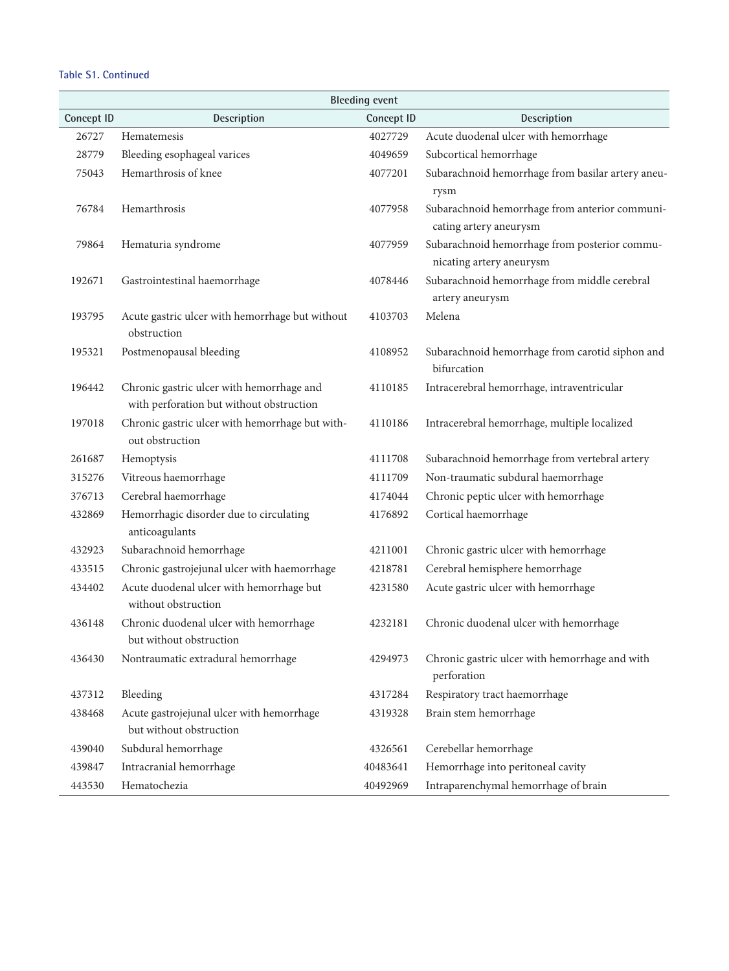**Table S1. Continued**

| <b>Bleeding event</b> |                                                                                       |            |                                                                           |
|-----------------------|---------------------------------------------------------------------------------------|------------|---------------------------------------------------------------------------|
| Concept ID            | Description                                                                           | Concept ID | Description                                                               |
| 26727                 | Hematemesis                                                                           | 4027729    | Acute duodenal ulcer with hemorrhage                                      |
| 28779                 | Bleeding esophageal varices                                                           | 4049659    | Subcortical hemorrhage                                                    |
| 75043                 | Hemarthrosis of knee                                                                  | 4077201    | Subarachnoid hemorrhage from basilar artery aneu-                         |
|                       |                                                                                       |            | rysm                                                                      |
| 76784                 | Hemarthrosis                                                                          | 4077958    | Subarachnoid hemorrhage from anterior communi-<br>cating artery aneurysm  |
| 79864                 | Hematuria syndrome                                                                    | 4077959    | Subarachnoid hemorrhage from posterior commu-<br>nicating artery aneurysm |
| 192671                | Gastrointestinal haemorrhage                                                          | 4078446    | Subarachnoid hemorrhage from middle cerebral<br>artery aneurysm           |
| 193795                | Acute gastric ulcer with hemorrhage but without<br>obstruction                        | 4103703    | Melena                                                                    |
| 195321                | Postmenopausal bleeding                                                               | 4108952    | Subarachnoid hemorrhage from carotid siphon and<br>bifurcation            |
| 196442                | Chronic gastric ulcer with hemorrhage and<br>with perforation but without obstruction | 4110185    | Intracerebral hemorrhage, intraventricular                                |
| 197018                | Chronic gastric ulcer with hemorrhage but with-<br>out obstruction                    | 4110186    | Intracerebral hemorrhage, multiple localized                              |
| 261687                | Hemoptysis                                                                            | 4111708    | Subarachnoid hemorrhage from vertebral artery                             |
| 315276                | Vitreous haemorrhage                                                                  | 4111709    | Non-traumatic subdural haemorrhage                                        |
| 376713                | Cerebral haemorrhage                                                                  | 4174044    | Chronic peptic ulcer with hemorrhage                                      |
| 432869                | Hemorrhagic disorder due to circulating<br>anticoagulants                             | 4176892    | Cortical haemorrhage                                                      |
| 432923                | Subarachnoid hemorrhage                                                               | 4211001    | Chronic gastric ulcer with hemorrhage                                     |
| 433515                | Chronic gastrojejunal ulcer with haemorrhage                                          | 4218781    | Cerebral hemisphere hemorrhage                                            |
| 434402                | Acute duodenal ulcer with hemorrhage but<br>without obstruction                       | 4231580    | Acute gastric ulcer with hemorrhage                                       |
| 436148                | Chronic duodenal ulcer with hemorrhage<br>but without obstruction                     | 4232181    | Chronic duodenal ulcer with hemorrhage                                    |
| 436430                | Nontraumatic extradural hemorrhage                                                    | 4294973    | Chronic gastric ulcer with hemorrhage and with<br>perforation             |
| 437312                | Bleeding                                                                              | 4317284    | Respiratory tract haemorrhage                                             |
| 438468                | Acute gastrojejunal ulcer with hemorrhage<br>but without obstruction                  | 4319328    | Brain stem hemorrhage                                                     |
| 439040                | Subdural hemorrhage                                                                   | 4326561    | Cerebellar hemorrhage                                                     |
| 439847                | Intracranial hemorrhage                                                               | 40483641   | Hemorrhage into peritoneal cavity                                         |
| 443530                | Hematochezia                                                                          | 40492969   | Intraparenchymal hemorrhage of brain                                      |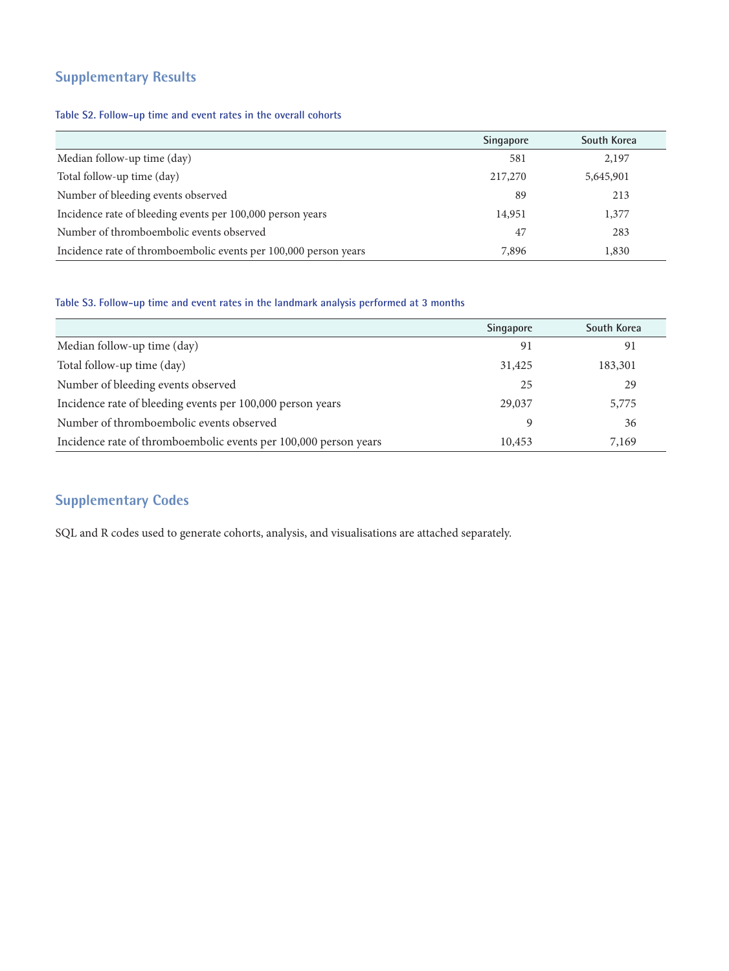## **Supplementary Results**

#### **Table S2. Follow-up time and event rates in the overall cohorts**

|                                                                  | <b>Singapore</b> | South Korea |
|------------------------------------------------------------------|------------------|-------------|
| Median follow-up time (day)                                      | 581              | 2,197       |
| Total follow-up time (day)                                       | 217,270          | 5,645,901   |
| Number of bleeding events observed                               | 89               | 213         |
| Incidence rate of bleeding events per 100,000 person years       | 14,951           | 1,377       |
| Number of thromboembolic events observed                         | 47               | 283         |
| Incidence rate of thromboembolic events per 100,000 person years | 7,896            | 1,830       |

#### **Table S3. Follow-up time and event rates in the landmark analysis performed at 3 months**

|                                                                  | <b>Singapore</b> | South Korea |
|------------------------------------------------------------------|------------------|-------------|
| Median follow-up time (day)                                      | 91               | 91          |
| Total follow-up time (day)                                       | 31,425           | 183,301     |
| Number of bleeding events observed                               | 25               | 29          |
| Incidence rate of bleeding events per 100,000 person years       | 29,037           | 5,775       |
| Number of thromboembolic events observed                         | 9                | 36          |
| Incidence rate of thromboembolic events per 100,000 person years | 10,453           | 7,169       |

## **Supplementary Codes**

SQL and R codes used to generate cohorts, analysis, and visualisations are attached separately.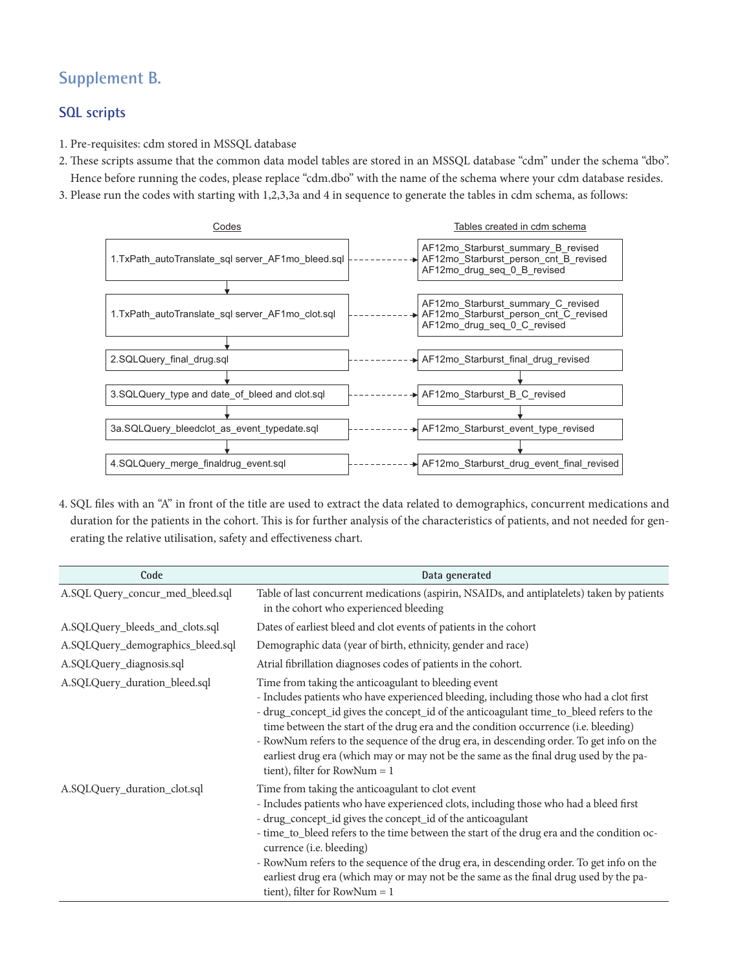# **Supplement B.**

### **SQL scripts**

- 1. Pre-requisites: cdm stored in MSSQL database
- 2. These scripts assume that the common data model tables are stored in an MSSQL database "cdm" under the schema "dbo". Hence before running the codes, please replace "cdm.dbo" with the name of the schema where your cdm database resides.
- 3. Please run the codes with starting with 1,2,3,3a and 4 in sequence to generate the tables in cdm schema, as follows:



4. SQL files with an "A" in front of the title are used to extract the data related to demographics, concurrent medications and duration for the patients in the cohort. This is for further analysis of the characteristics of patients, and not needed for generating the relative utilisation, safety and effectiveness chart.

| Code                              | Data generated                                                                                                                                                                                                                                                                                                                                                                                                                                                                                                                                             |
|-----------------------------------|------------------------------------------------------------------------------------------------------------------------------------------------------------------------------------------------------------------------------------------------------------------------------------------------------------------------------------------------------------------------------------------------------------------------------------------------------------------------------------------------------------------------------------------------------------|
| A.SQL Query_concur_med_bleed.sql  | Table of last concurrent medications (aspirin, NSAIDs, and antiplatelets) taken by patients<br>in the cohort who experienced bleeding                                                                                                                                                                                                                                                                                                                                                                                                                      |
| A.SQLQuery_bleeds_and_clots.sql   | Dates of earliest bleed and clot events of patients in the cohort                                                                                                                                                                                                                                                                                                                                                                                                                                                                                          |
| A.SQLQuery_demographics_bleed.sql | Demographic data (year of birth, ethnicity, gender and race)                                                                                                                                                                                                                                                                                                                                                                                                                                                                                               |
| A.SQLQuery_diagnosis.sql          | Atrial fibrillation diagnoses codes of patients in the cohort.                                                                                                                                                                                                                                                                                                                                                                                                                                                                                             |
| A.SQLQuery_duration_bleed.sql     | Time from taking the anticoagulant to bleeding event<br>- Includes patients who have experienced bleeding, including those who had a clot first<br>- drug_concept_id gives the concept_id of the anticoagulant time_to_bleed refers to the<br>time between the start of the drug era and the condition occurrence (i.e. bleeding)<br>- RowNum refers to the sequence of the drug era, in descending order. To get info on the<br>earliest drug era (which may or may not be the same as the final drug used by the pa-<br>tient), filter for RowNum = $1$  |
| A.SQLQuery_duration_clot.sql      | Time from taking the anticoagulant to clot event<br>- Includes patients who have experienced clots, including those who had a bleed first<br>- drug_concept_id gives the concept_id of the anticoagulant<br>- time_to_bleed refers to the time between the start of the drug era and the condition oc-<br>currence (i.e. bleeding)<br>- RowNum refers to the sequence of the drug era, in descending order. To get info on the<br>earliest drug era (which may or may not be the same as the final drug used by the pa-<br>tient), filter for RowNum = $1$ |